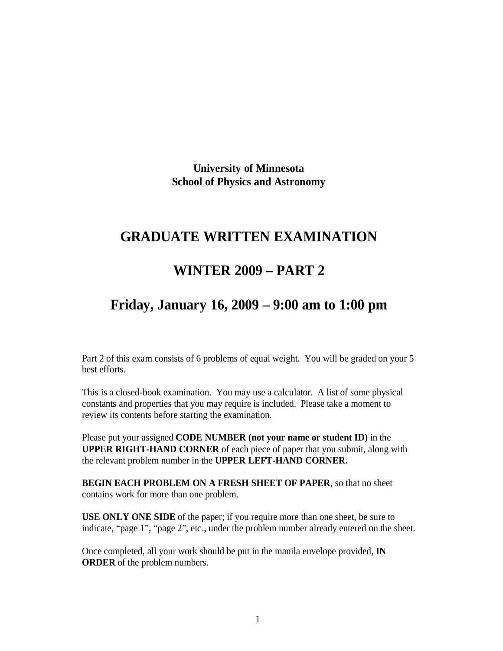**University of Minnesota School of Physics and Astronomy**

## **GRADUATE WRITTEN EXAMINATION**

## **WINTER 2009 PART 2**

## **Friday, January 16, 2009 9:00 am to 1:00 pm**

Part 2 of this exam consists of 6 problems of equal weight. You will be graded on your 5 best efforts.

This is a closed-book examination. You may use a calculator. A list of some physical constants and properties that you may require is included. Please take a moment to review its contents before starting the examination.

Please put your assigned **CODE NUMBER (not your name or student ID)** in the **UPPER RIGHT-HAND CORNER** of each piece of paper that you submit, along with the relevant problem number in the **UPPER LEFT-HAND CORNER.**

**BEGIN EACH PROBLEM ON A FRESH SHEET OF PAPER**, so that no sheet contains work for more than one problem.

**USE ONLY ONE SIDE** of the paper; if you require more than one sheet, be sure to indicate, "page 1", "page 2", etc., under the problem number already entered on the sheet.

Once completed, all your work should be put in the manila envelope provided, **IN ORDER** of the problem numbers.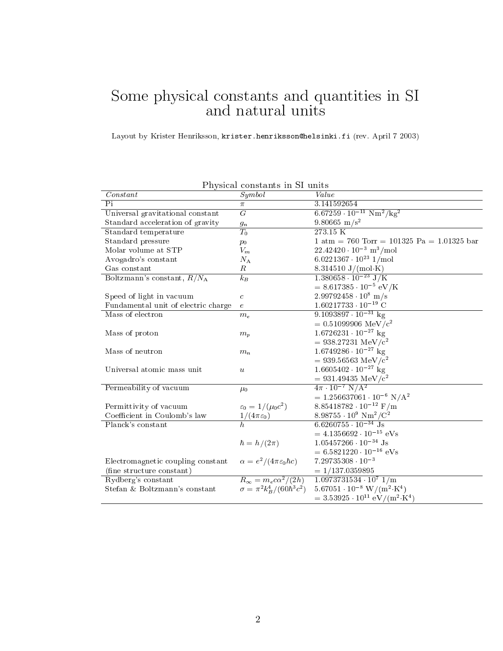## some produce in SI in SI in SI in SI in SI in SI in SI in SI in SI in SI in SI in SI in SI in SI in SI in SI i

Layout by Krister Henriksson, krister.henriksson@helsinki.fi (rev. April 7 2003)

| Constant                            | т пуэксаг сонвтанты нг от ангез           | Value                                                        |
|-------------------------------------|-------------------------------------------|--------------------------------------------------------------|
|                                     | Symbol                                    |                                                              |
| Pi                                  | $\pi$                                     | 3.141592654                                                  |
| Universal gravitational constant    | $G\,$                                     | $6.67259 \cdot 10^{-11} \text{ Nm}^2/\text{kg}^2$            |
| Standard acceleration of gravity    | $g_n$                                     | $9.80665 \text{ m/s}^2$                                      |
| Standard temperature                | $T_0$                                     | 273.15 K                                                     |
| Standard pressure                   | $p_0$                                     | $1 atm = 760 Torr = 101325 Pa = 1.01325 bar$                 |
| Molar volume at STP                 | ${\cal V}_m$                              | $22.42420 \cdot 10^{-3}$ m <sup>3</sup> /mol                 |
| Avogadro's constant                 | $N_{\rm A}$                               | $6.0221367 \cdot 10^{23}$ 1/mol                              |
| Gas constant                        | R                                         | 8.314510 $J/(mol·K)$                                         |
| Boltzmann's constant, $R/N_A$       | $k_B$                                     | $\frac{1.380658 \cdot 10^{-23} \text{ J/K}}{}$               |
|                                     |                                           | $= 8.617385 \cdot 10^{-5} \text{ eV/K}$                      |
| Speed of light in vacuum            | $\boldsymbol{c}$                          | $2.99792458 \cdot 10^8$ m/s                                  |
| Fundamental unit of electric charge | $\epsilon$                                | $1.60217733 \cdot 10^{-19}$ C                                |
| Mass of electron                    | $m_e$                                     | $9.1093897 \cdot 10^{-31}$ kg                                |
|                                     |                                           | $= 0.51099906 \text{ MeV}/c^2$                               |
| Mass of proton                      | $m_p$                                     | $1.6726231 \cdot 10^{-27}$ kg                                |
|                                     |                                           | $= 938.27231 \text{ MeV}/c^2$                                |
| Mass of neutron                     | $m_n$                                     | $1.6749286 \cdot 10^{-27}$ kg                                |
|                                     |                                           | $=939.56563~\mathrm{MeV/c^2}$                                |
| Universal atomic mass unit          | $\boldsymbol{u}$                          | $1.6605402 \cdot 10^{-27}$ kg                                |
|                                     |                                           | $= 931.49435 \text{ MeV}/c^2$                                |
| Permeability of vacuum              | $\mu_0$                                   | $4\pi \cdot 10^{-7} \text{ N/A}^2$                           |
|                                     |                                           | $= 1.256637061 \cdot 10^{-6} N/A^2$                          |
| Permittivity of vacuum              | $\varepsilon_0 = 1/(\mu_0 c^2)$           | $8.85418782 \cdot 10^{-12}$ F/m                              |
| Coefficient in Coulomb's law        | $1/(4\pi\varepsilon_0)$                   | 8.98755 $\cdot 10^9$ Nm <sup>2</sup> /C <sup>2</sup>         |
| Planck's constant                   |                                           | $6.6260755 \cdot 10^{-34}$ Js                                |
|                                     |                                           | $= 4.1356692 \cdot 10^{-15}$ eVs                             |
|                                     | $\hbar = h/(2\pi)$                        | $1.05457266 \cdot 10^{-34}$ Js                               |
|                                     |                                           | $= 6.5821220 \cdot 10^{-16}$ eVs                             |
| Electromagnetic coupling constant   | $\alpha = e^2/(4\pi\varepsilon_0\hbar c)$ | $7.29735308 \cdot 10^{-3}$                                   |
| (fine structure constant)           |                                           | $= 1/137.0359895$                                            |
| Rydberg's constant                  | $R_{\infty} = m_e c \alpha^2/(2h)$        | $1.0973731534 \cdot 10^7$ $1/m$                              |
|                                     | $\sigma = \pi^2 k_B^4 / (60 \hbar^3 c^2)$ | $5.67051 \cdot 10^{-8}$ W/(m <sup>2</sup> ·K <sup>4</sup> )  |
| Stefan & Boltzmann's constant       |                                           |                                                              |
|                                     |                                           | $=3.53925 \cdot 10^{11} \text{ eV}/(\text{m}^2 \text{ K}^4)$ |

Physical constants in SI units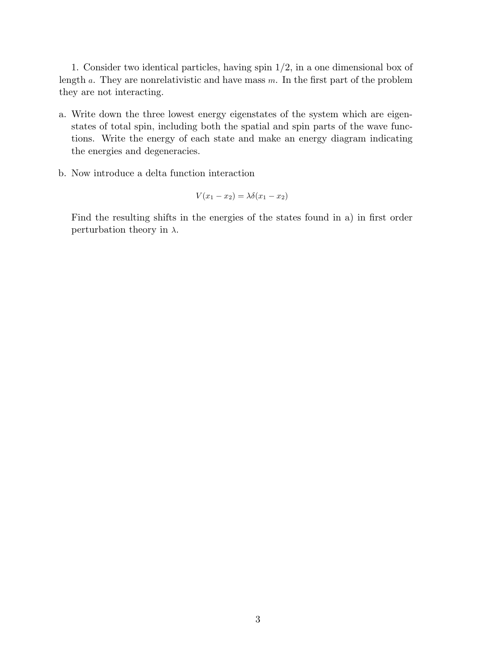1. Consider two identical particles, having spin 1/2, in a one dimensional box of length  $a$ . They are nonrelativistic and have mass  $m$ . In the first part of the problem they are not interacting.

- a. Write down the three lowest energy eigenstates of the system which are eigenstates of total spin, including both the spatial and spin parts of the wave functions. Write the energy of each state and make an energy diagram indicating the energies and degeneracies.
- b. Now introduce a delta function interaction

$$
V(x_1 - x_2) = \lambda \delta(x_1 - x_2)
$$

Find the resulting shifts in the energies of the states found in a) in first order perturbation theory in  $\lambda$ .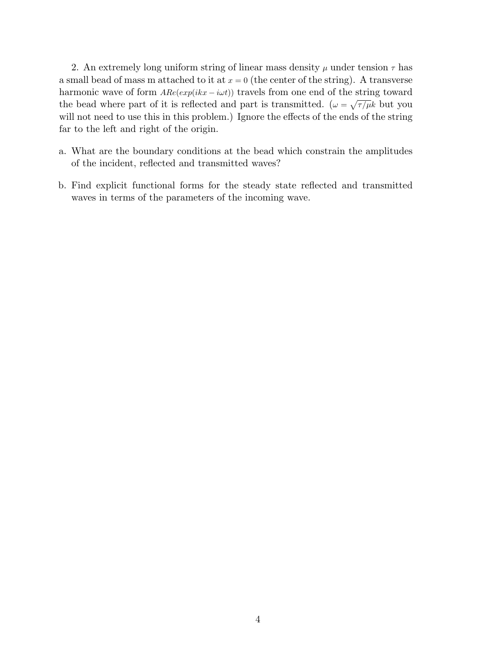2. An extremely long uniform string of linear mass density  $\mu$  under tension  $\tau$  has a small bead of mass m attached to it at  $x = 0$  (the center of the string). A transverse harmonic wave of form  $A Re(exp(i kx - i\omega t))$  travels from one end of the string toward the bead where part of it is reflected and part is transmitted.  $(\omega = \sqrt{\tau/\mu}k$  but you will not need to use this in this problem.) Ignore the effects of the ends of the string far to the left and right of the origin.

- a. What are the boundary conditions at the bead which constrain the amplitudes of the incident, reflected and transmitted waves?
- b. Find explicit functional forms for the steady state reflected and transmitted waves in terms of the parameters of the incoming wave.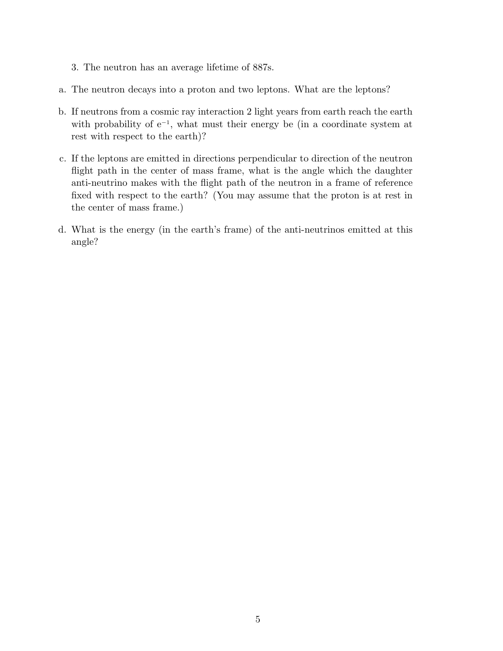- 3. The neutron has an average lifetime of 887s.
- a. The neutron decays into a proton and two leptons. What are the leptons?
- b. If neutrons from a cosmic ray interaction 2 light years from earth reach the earth with probability of e<sup>−</sup><sup>1</sup> , what must their energy be (in a coordinate system at rest with respect to the earth)?
- c. If the leptons are emitted in directions perpendicular to direction of the neutron flight path in the center of mass frame, what is the angle which the daughter anti-neutrino makes with the flight path of the neutron in a frame of reference fixed with respect to the earth? (You may assume that the proton is at rest in the center of mass frame.)
- d. What is the energy (in the earth's frame) of the anti-neutrinos emitted at this angle?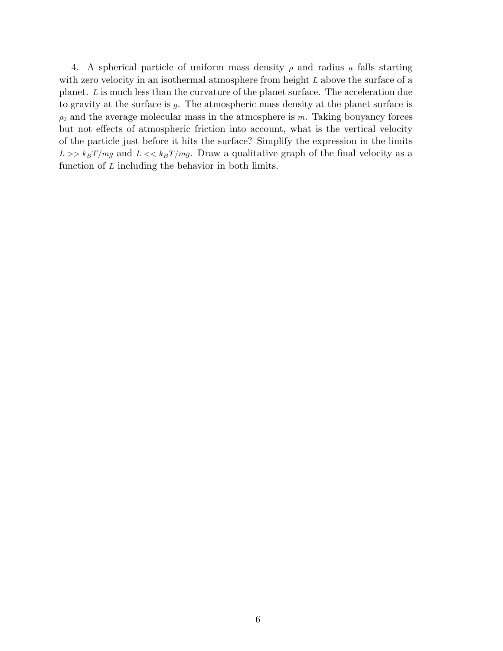4. A spherical particle of uniform mass density  $\rho$  and radius a falls starting with zero velocity in an isothermal atmosphere from height L above the surface of a planet. L is much less than the curvature of the planet surface. The acceleration due to gravity at the surface is g. The atmospheric mass density at the planet surface is  $\rho_0$  and the average molecular mass in the atmosphere is m. Taking bouyancy forces but not effects of atmospheric friction into account, what is the vertical velocity of the particle just before it hits the surface? Simplify the expression in the limits  $L >> k_B T/mg$  and  $L << k_B T/mg$ . Draw a qualitative graph of the final velocity as a function of  $L$  including the behavior in both limits.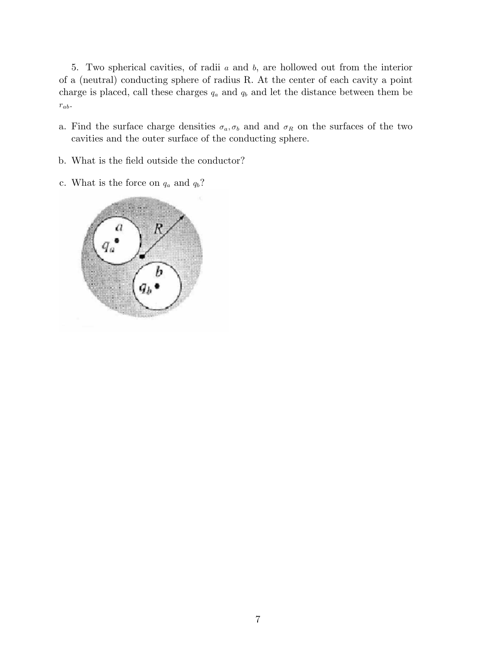5. Two spherical cavities, of radii a and b, are hollowed out from the interior of a (neutral) conducting sphere of radius R. At the center of each cavity a point charge is placed, call these charges  $q_a$  and  $q_b$  and let the distance between them be  $r_{ab}$ .

- a. Find the surface charge densities  $\sigma_a, \sigma_b$  and and  $\sigma_R$  on the surfaces of the two cavities and the outer surface of the conducting sphere.
- b. What is the field outside the conductor?
- c. What is the force on  $q_a$  and  $q_b$ ?